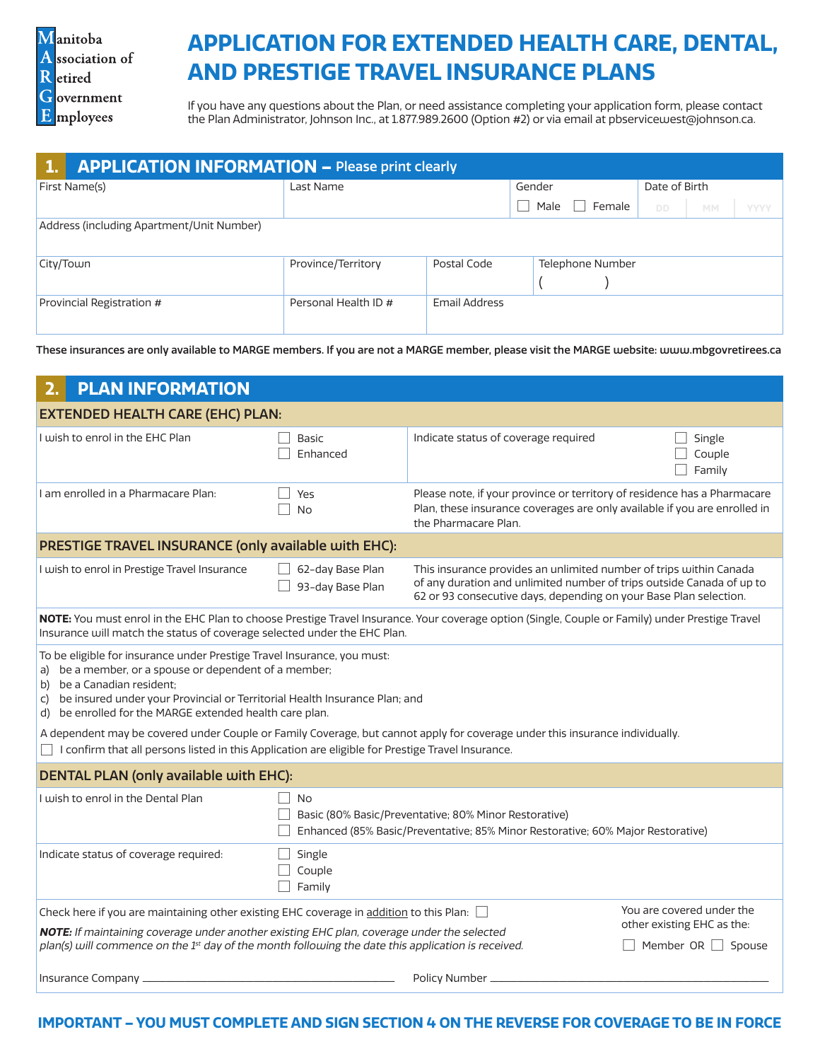Manitoba A ssociation of R etired G overnment E mployees

# **APPLICATION FOR EXTENDED HEALTH CARE, DENTAL, AND PRESTIGE TRAVEL INSURANCE PLANS**

If you have any questions about the Plan, or need assistance completing your application form, please contact the Plan Administrator, Johnson Inc., at 1.877.989.2600 (Option #2) or via email at pbservicewest@johnson.ca.

| <b>APPLICATION INFORMATION - Please print clearly</b> |                      |                      |                  |               |           |             |
|-------------------------------------------------------|----------------------|----------------------|------------------|---------------|-----------|-------------|
| First Name(s)                                         | Last Name            |                      | Gender           | Date of Birth |           |             |
|                                                       |                      |                      | Female<br>Male   | DD.           | <b>MM</b> | <b>YYYY</b> |
| Address (including Apartment/Unit Number)             |                      |                      |                  |               |           |             |
| City/Town                                             | Province/Territory   | Postal Code          | Telephone Number |               |           |             |
| Provincial Registration #                             | Personal Health ID # | <b>Email Address</b> |                  |               |           |             |

These insurances are only available to MARGE members. If you are not a MARGE member, please visit the MARGE website: www.mbgovretirees.ca

| <b>PLAN INFORMATION</b>                                                                                                                                                                                                                                                                                                                                                                                                                       |                                                                                                                                                       |                                                                                                                                                                                                                  |                                                       |  |
|-----------------------------------------------------------------------------------------------------------------------------------------------------------------------------------------------------------------------------------------------------------------------------------------------------------------------------------------------------------------------------------------------------------------------------------------------|-------------------------------------------------------------------------------------------------------------------------------------------------------|------------------------------------------------------------------------------------------------------------------------------------------------------------------------------------------------------------------|-------------------------------------------------------|--|
| <b>EXTENDED HEALTH CARE (EHC) PLAN:</b>                                                                                                                                                                                                                                                                                                                                                                                                       |                                                                                                                                                       |                                                                                                                                                                                                                  |                                                       |  |
| I wish to enrol in the EHC Plan                                                                                                                                                                                                                                                                                                                                                                                                               | Basic<br>Enhanced                                                                                                                                     | Indicate status of coverage required                                                                                                                                                                             | Single<br>Couple<br>Family                            |  |
| I am enrolled in a Pharmacare Plan:                                                                                                                                                                                                                                                                                                                                                                                                           | Yes<br><b>No</b>                                                                                                                                      | Please note, if your province or territory of residence has a Pharmacare<br>Plan, these insurance coverages are only available if you are enrolled in<br>the Pharmacare Plan.                                    |                                                       |  |
| PRESTIGE TRAVEL INSURANCE (only available with EHC):                                                                                                                                                                                                                                                                                                                                                                                          |                                                                                                                                                       |                                                                                                                                                                                                                  |                                                       |  |
| I wish to enrol in Prestige Travel Insurance                                                                                                                                                                                                                                                                                                                                                                                                  | 62-day Base Plan<br>93-day Base Plan                                                                                                                  | This insurance provides an unlimited number of trips within Canada<br>of any duration and unlimited number of trips outside Canada of up to<br>62 or 93 consecutive days, depending on your Base Plan selection. |                                                       |  |
| NOTE: You must enrol in the EHC Plan to choose Prestige Travel Insurance. Your coverage option (Single, Couple or Family) under Prestige Travel<br>Insurance will match the status of coverage selected under the EHC Plan.                                                                                                                                                                                                                   |                                                                                                                                                       |                                                                                                                                                                                                                  |                                                       |  |
| To be eligible for insurance under Prestige Travel Insurance, you must:<br>a) be a member, or a spouse or dependent of a member;<br>b) be a Canadian resident;<br>be insured under your Provincial or Territorial Health Insurance Plan; and<br>C)<br>d) be enrolled for the MARGE extended health care plan.<br>A dependent may be covered under Couple or Family Coverage, but cannot apply for coverage under this insurance individually. |                                                                                                                                                       |                                                                                                                                                                                                                  |                                                       |  |
| □ I confirm that all persons listed in this Application are eligible for Prestige Travel Insurance.                                                                                                                                                                                                                                                                                                                                           |                                                                                                                                                       |                                                                                                                                                                                                                  |                                                       |  |
| <b>DENTAL PLAN (only available with EHC):</b>                                                                                                                                                                                                                                                                                                                                                                                                 |                                                                                                                                                       |                                                                                                                                                                                                                  |                                                       |  |
| I wish to enrol in the Dental Plan                                                                                                                                                                                                                                                                                                                                                                                                            | <b>No</b><br>Basic (80% Basic/Preventative; 80% Minor Restorative)<br>Enhanced (85% Basic/Preventative; 85% Minor Restorative; 60% Major Restorative) |                                                                                                                                                                                                                  |                                                       |  |
| Indicate status of coverage required:                                                                                                                                                                                                                                                                                                                                                                                                         | Single<br>Couple<br>Family                                                                                                                            |                                                                                                                                                                                                                  |                                                       |  |
| You are covered under the<br>Check here if you are maintaining other existing EHC coverage in addition to this Plan: $\Box$                                                                                                                                                                                                                                                                                                                   |                                                                                                                                                       |                                                                                                                                                                                                                  |                                                       |  |
| NOTE: If maintaining coverage under another existing EHC plan, coverage under the selected<br>plan(s) will commence on the 1st day of the month following the date this application is received.                                                                                                                                                                                                                                              |                                                                                                                                                       |                                                                                                                                                                                                                  | other existing EHC as the:<br>Member OR $\Box$ Spouse |  |
| Policy Number _<br>Insurance Company _                                                                                                                                                                                                                                                                                                                                                                                                        |                                                                                                                                                       |                                                                                                                                                                                                                  |                                                       |  |

### **IMPORTANT – YOU MUST COMPLETE AND SIGN SECTION 4 ON THE REVERSE FOR COVERAGE TO BE IN FORCE**